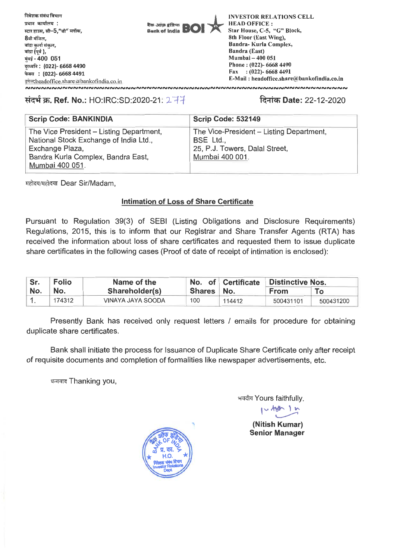

# **Ref. No.:** HO:IRC:SD:2020-21: 1-44 <sup>1</sup>**lal Date:** 22-12-2020

| <b>Scrip Code: BANKINDIA</b>                                                       | <b>Scrip Code: 532149</b>                             |
|------------------------------------------------------------------------------------|-------------------------------------------------------|
| The Vice President - Listing Department,<br>National Stock Exchange of India Ltd., | The Vice-President - Listing Department,<br>BSE Ltd., |
| Exchange Plaza,<br>Bandra Kurla Complex, Bandra East,<br>Mumbai 400 051.           | 25, P.J. Towers, Dalal Street,<br>Mumbai 400 001.     |

महोदय/महोदया Dear Sir/Madam,

# **Intimation of Loss of Share Certificate**

Pursuant to Regulation 39(3) of SEBI (Listing Obligations and Disclosure Requirements) Regulations, 2015, this is to inform that our Registrar and Share Transfer Agents (RTA) has received the information about loss of share certificates and requested them to issue duplicate share certificates in the following cases (Proof of date of receipt of intimation is enclosed):

| Sr. | <b>Folio</b> | Name of the       |            | No. of Certificate | Distinctive Nos. |           |
|-----|--------------|-------------------|------------|--------------------|------------------|-----------|
| No. | No.          | Shareholder(s)    | Shares No. |                    | <b>From</b>      |           |
|     | 174312       | VINAYA JAYA SOODA | 100        | 114412             | 500431101        | 500431200 |

Presently Bank has received only request letters / emails for procedure for obtaining duplicate share certificates.

Bank shall initiate the process for Issuance of Duplicate Share Certificate only after receipt of requisite documents and completion of formalities like newspaper advertisements, etc.

धन्यवाद Thanking you,

भवदीय Yours faithfully,<br>| المسلم المسلم

## **(Nitish Kumar) Senior Manager**

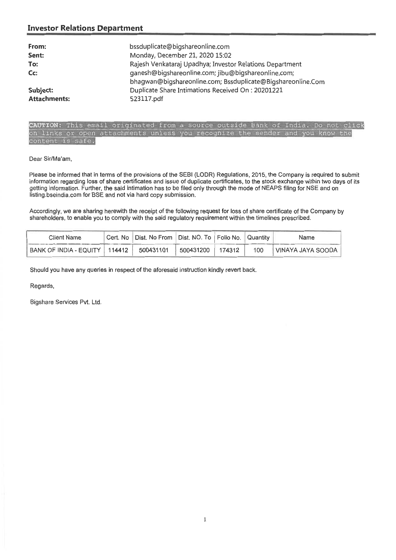## **Investor Relations Department**

| From:               | bssduplicate@bigshareonline.com                                                                                    |
|---------------------|--------------------------------------------------------------------------------------------------------------------|
| Sent:               | Monday, December 21, 2020 15:02                                                                                    |
| To:                 | Rajesh Venkataraj Upadhya; Investor Relations Department                                                           |
| Cc:                 | ganesh@bigshareonline.com; jibu@bigshareonline.com;<br>bhagwan@bigshareonline.com; Bssduplicate@Bigshareonline.Com |
| Subject:            | Duplicate Share Intimations Received On: 20201221                                                                  |
| <b>Attachments:</b> | 523117.pdf                                                                                                         |

## CAUTION: This email originated from a source outside Bank of India. Do not click on links or open attachments unless you recognize the sender and you know the content is safe.

## Dear Sir/Ma'am,

Please be informed that in terms of the provisions of the SEBI (LODR) Regulations, 2015, the Company is required to submit information regarding loss of share certificates and issue of duplicate certificates, to the stock exchange within two days of its getting information. Further, the said intimation has to be filed only through the mode of NEAPS filing for NSE and on listing.bseindia.com for BSE and not via hard copy submission.

Accordingly, we are sharing herewith the receipt of the following request for loss of share certificate of the Company by shareholders, to enable you to comply with the said regulatory requirement within the timelines prescribed.

| Client Name                                 | Cert. No   Dist. No From   Dist. NO. To   Folio No.   Quantity |                  |     | Name              |
|---------------------------------------------|----------------------------------------------------------------|------------------|-----|-------------------|
| BANK OF INDIA - EQUITY   114412   500431101 |                                                                | 500431200 174312 | 100 | VINAYA JAYA SOODA |

Should you have any queries in respect of the aforesaid instruction kindly revert back.

Regards,

Bigshare Services Pvt. Ltd.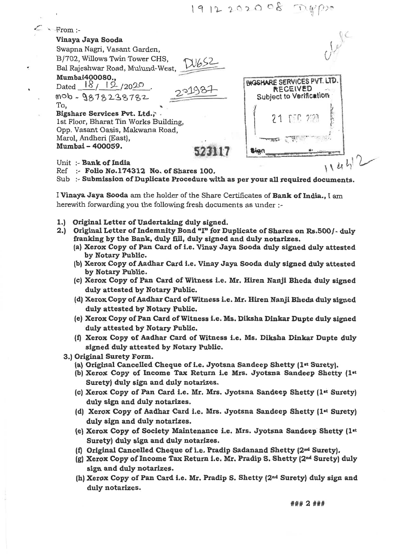1912202008

From **:- Vinaya Jaya Sooda**  Swapna Nagri, Vasant Garden, B/702, Willows Twin Tower CHS, Bal Rajeshwar Road, Mulund-West, **Mumbai400080.,**  Dated  $18/12/2020$ mob-9878238782 To, **Bigshare Services Pvt. Ltd.,-**  1st Floor, Bharat Tin Works Building, Opp. Vasant Oasis, Makwana Road, Marol, Andheri (East), **Mumbai - 400059. 523117 DIGSHARE SERVICES PVT. LTD. RECEIVED Subject to Verification**   $\ell$  1  $\frac{1}{2}$ 11' Unit :- **Bank of India**  Ref :- **Folio No.174312 No. of Shares 100.**  Sub :- **Submission of Duplicate Procedure with as per your all required documents. I Vinaya Jaya Sooda** am the holder of the Share Certificates of **Bank of India.,** I am herewith forwarding you the following fresh documents as under **1.) Original Letter of Undertaking duly signed. 2.) Original Letter of Indemnity Bond "I" for Duplicate of Shares on Rs.500/- duly** 

- **franking by the Bank, duly fill, duly signed and duly notarizes.** 
	- **(a) Xerox Copy of Pan Card of i.e. Vinay Jaya Sooda duly signed duly attested by Notary Public.**
	- **(b) Xerox Copy of Aadhar Card i.e. Vinay Jaya Sooda duly signed duly attested by Notary Public.**
	- **(c) Xerox Copy of Pan Card of Witness i.e. Mr. Hiren Nanji Bheda duly signed duly attested by Notary Public.**
	- **(d) Xerox Copy of Aadhar Card of Witness i.e. Mr. Hiren Nanji Bheda duly signed duly attested by Notary Public.**
	- **(e) Xerox Copy of Pan Card of Witness i.e. Ms. Diksha Dinkar Dupte duly signed duly attested by Notary Public.**
	- **(f) Xerox Copy of Aadhar Card of Witness i.e. Ms. Diksha Dinkar Dupte duly signed duly attested by Notary Public.**
- **3.) Original Surety Form.** 
	- **(a) Original Cancelled Cheque of i.e. Jyotsna Sandeep Shetty (lit Surety).**
	- **(b) Xerox Copy of Income Tax Return i.e Mrs. Jyotsna Sandeep Shetty (lit Surety) duly sign and duly notarizes.**
	- (c) Xerox Copy of Pan Card i.e. Mr. Mrs. Jyotsna Sandeep Shetty (1<sup>st</sup> Surety) **duly sign and duly notarizes.**
	- **(d) Xerox Copy of Aadhar Card i.e. Mrs. Jyotsna Sandeep Shetty (lit Surety) duly sign and duly notarizes.**
	- **(e) Xerox Copy of Society Maintenance i.e. Mrs. Jyotsna Sandeep Shetty (lit Surety) duly sign and duly notarizes.**
	- **(f) Original Cancelled Cheque of i.e. Pradip Sadanand Shetty (2nd Surety).**
	- **(g) Xerox Copy of Income Tax Return i.e. Mr. Pradip S. Shetty (2nd Surety) duly sign and duly notarizes.**
	- **(h) Xerox Copy of Pan Card i.e. Mr. Pradip S. Shetty (2nd Surety) duly sign and duly notarizes.**

### 2 ###